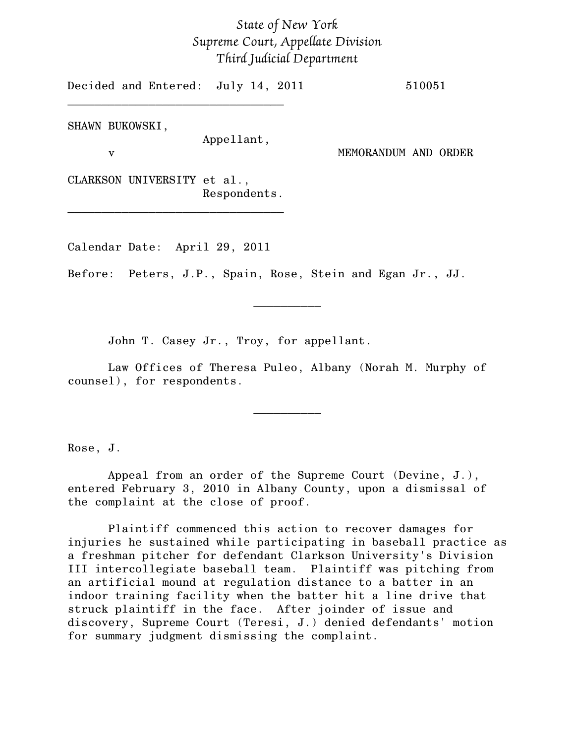## *State of New York Supreme Court, Appellate Division Third Judicial Department*

Decided and Entered: July 14, 2011 510051

SHAWN BUKOWSKI,

Appellant,

v MEMORANDUM AND ORDER

CLARKSON UNIVERSITY et al., Respondents.

\_\_\_\_\_\_\_\_\_\_\_\_\_\_\_\_\_\_\_\_\_\_\_\_\_\_\_\_\_\_\_\_

\_\_\_\_\_\_\_\_\_\_\_\_\_\_\_\_\_\_\_\_\_\_\_\_\_\_\_\_\_\_\_\_

Calendar Date: April 29, 2011

Before: Peters, J.P., Spain, Rose, Stein and Egan Jr., JJ.

John T. Casey Jr., Troy, for appellant.

Law Offices of Theresa Puleo, Albany (Norah M. Murphy of counsel), for respondents.

\_\_\_\_\_\_\_\_\_\_

 $\frac{1}{2}$ 

Rose, J.

Appeal from an order of the Supreme Court (Devine, J.), entered February 3, 2010 in Albany County, upon a dismissal of the complaint at the close of proof.

Plaintiff commenced this action to recover damages for injuries he sustained while participating in baseball practice as a freshman pitcher for defendant Clarkson University's Division III intercollegiate baseball team. Plaintiff was pitching from an artificial mound at regulation distance to a batter in an indoor training facility when the batter hit a line drive that struck plaintiff in the face. After joinder of issue and discovery, Supreme Court (Teresi, J.) denied defendants' motion for summary judgment dismissing the complaint.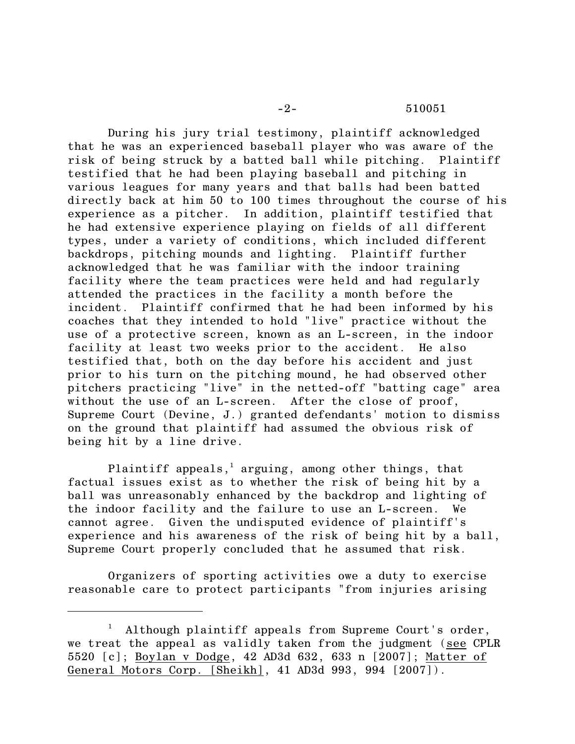-2- 510051

During his jury trial testimony, plaintiff acknowledged that he was an experienced baseball player who was aware of the risk of being struck by a batted ball while pitching. Plaintiff testified that he had been playing baseball and pitching in various leagues for many years and that balls had been batted directly back at him 50 to 100 times throughout the course of his experience as a pitcher. In addition, plaintiff testified that he had extensive experience playing on fields of all different types, under a variety of conditions, which included different backdrops, pitching mounds and lighting. Plaintiff further acknowledged that he was familiar with the indoor training facility where the team practices were held and had regularly attended the practices in the facility a month before the incident. Plaintiff confirmed that he had been informed by his coaches that they intended to hold "live" practice without the use of a protective screen, known as an L-screen, in the indoor facility at least two weeks prior to the accident. He also testified that, both on the day before his accident and just prior to his turn on the pitching mound, he had observed other pitchers practicing "live" in the netted-off "batting cage" area without the use of an L-screen. After the close of proof, Supreme Court (Devine, J.) granted defendants' motion to dismiss on the ground that plaintiff had assumed the obvious risk of being hit by a line drive.

Plaintiff appeals, $<sup>1</sup>$  arguing, among other things, that</sup> factual issues exist as to whether the risk of being hit by a ball was unreasonably enhanced by the backdrop and lighting of the indoor facility and the failure to use an L-screen. cannot agree. Given the undisputed evidence of plaintiff's experience and his awareness of the risk of being hit by a ball, Supreme Court properly concluded that he assumed that risk.

Organizers of sporting activities owe a duty to exercise reasonable care to protect participants "from injuries arising

Although plaintiff appeals from Supreme Court's order, 1 we treat the appeal as validly taken from the judgment (see CPLR 5520 [c]; Boylan v Dodge, 42 AD3d 632, 633 n [2007]; Matter of General Motors Corp. [Sheikh], 41 AD3d 993, 994 [2007]).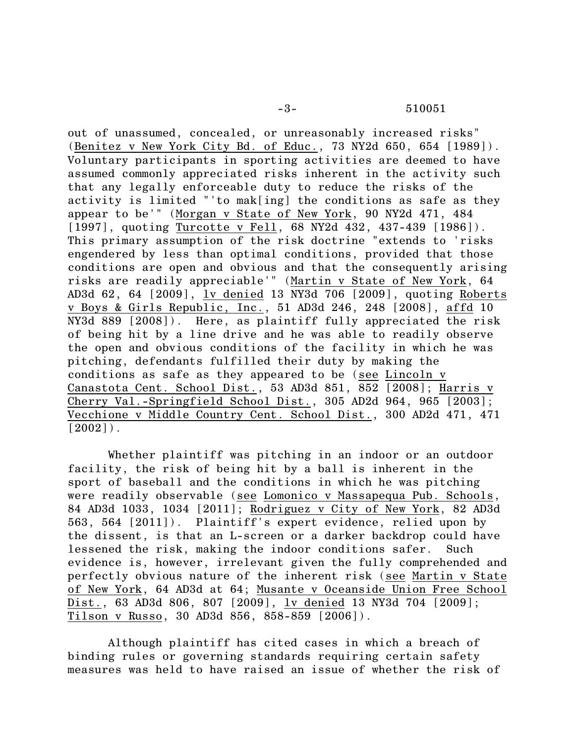out of unassumed, concealed, or unreasonably increased risks" (Benitez v New York City Bd. of Educ., 73 NY2d 650, 654 [1989]). Voluntary participants in sporting activities are deemed to have assumed commonly appreciated risks inherent in the activity such that any legally enforceable duty to reduce the risks of the activity is limited "'to mak[ing] the conditions as safe as they appear to be'" (Morgan v State of New York, 90 NY2d 471, 484 [1997], quoting Turcotte v Fell, 68 NY2d 432, 437-439 [1986]). This primary assumption of the risk doctrine "extends to 'risks engendered by less than optimal conditions, provided that those conditions are open and obvious and that the consequently arising risks are readily appreciable'" (Martin v State of New York, 64 AD3d 62, 64 [2009], lv denied 13 NY3d 706 [2009], quoting Roberts v Boys & Girls Republic, Inc., 51 AD3d 246, 248 [2008], affd 10 NY3d 889 [2008]). Here, as plaintiff fully appreciated the risk of being hit by a line drive and he was able to readily observe the open and obvious conditions of the facility in which he was pitching, defendants fulfilled their duty by making the conditions as safe as they appeared to be (see Lincoln v Canastota Cent. School Dist., 53 AD3d 851, 852 [2008]; Harris v Cherry Val.-Springfield School Dist., 305 AD2d 964, 965 [2003]; Vecchione v Middle Country Cent. School Dist., 300 AD2d 471, 471  $[2002]$ .

Whether plaintiff was pitching in an indoor or an outdoor facility, the risk of being hit by a ball is inherent in the sport of baseball and the conditions in which he was pitching were readily observable (see Lomonico v Massapequa Pub. Schools, 84 AD3d 1033, 1034 [2011]; Rodriguez v City of New York, 82 AD3d 563, 564 [2011]). Plaintiff's expert evidence, relied upon by the dissent, is that an L-screen or a darker backdrop could have lessened the risk, making the indoor conditions safer. Such evidence is, however, irrelevant given the fully comprehended and perfectly obvious nature of the inherent risk (see Martin v State of New York, 64 AD3d at 64; Musante v Oceanside Union Free School Dist., 63 AD3d 806, 807 [2009], lv denied 13 NY3d 704 [2009]; Tilson v Russo, 30 AD3d 856, 858-859 [2006]).

Although plaintiff has cited cases in which a breach of binding rules or governing standards requiring certain safety measures was held to have raised an issue of whether the risk of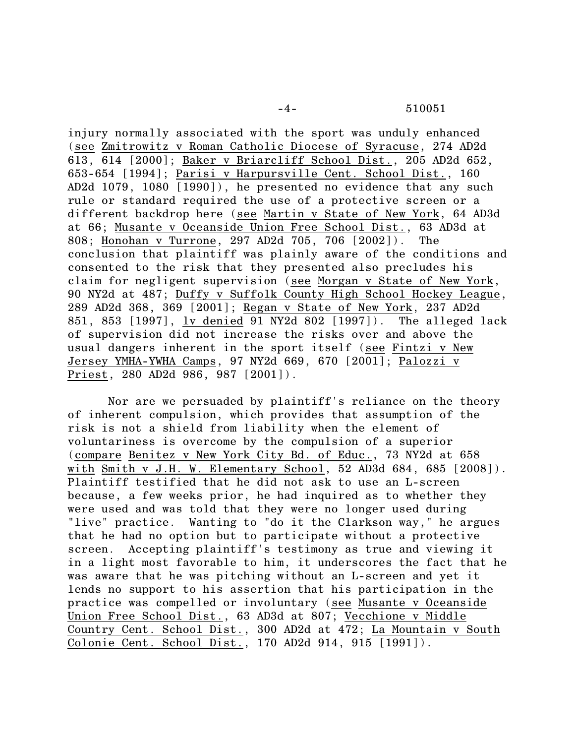injury normally associated with the sport was unduly enhanced (see Zmitrowitz v Roman Catholic Diocese of Syracuse, 274 AD2d 613, 614 [2000]; Baker v Briarcliff School Dist., 205 AD2d 652, 653-654 [1994]; Parisi v Harpursville Cent. School Dist., 160 AD2d 1079, 1080 [1990]), he presented no evidence that any such rule or standard required the use of a protective screen or a different backdrop here (see Martin v State of New York, 64 AD3d at 66; Musante v Oceanside Union Free School Dist., 63 AD3d at 808; Honohan v Turrone, 297 AD2d 705, 706 [2002]). The conclusion that plaintiff was plainly aware of the conditions and consented to the risk that they presented also precludes his claim for negligent supervision (see Morgan v State of New York, 90 NY2d at 487; Duffy v Suffolk County High School Hockey League, 289 AD2d 368, 369 [2001]; Regan v State of New York, 237 AD2d 851, 853 [1997], lv denied 91 NY2d 802 [1997]). The alleged lack of supervision did not increase the risks over and above the usual dangers inherent in the sport itself (see Fintzi v New Jersey YMHA-YWHA Camps, 97 NY2d 669, 670 [2001]; Palozzi v Priest, 280 AD2d 986, 987 [2001]).

Nor are we persuaded by plaintiff's reliance on the theory of inherent compulsion, which provides that assumption of the risk is not a shield from liability when the element of voluntariness is overcome by the compulsion of a superior (compare Benitez v New York City Bd. of Educ., 73 NY2d at 658 with Smith v J.H. W. Elementary School, 52 AD3d 684, 685 [2008]). Plaintiff testified that he did not ask to use an L-screen because, a few weeks prior, he had inquired as to whether they were used and was told that they were no longer used during "live" practice. Wanting to "do it the Clarkson way," he argues that he had no option but to participate without a protective screen. Accepting plaintiff's testimony as true and viewing it in a light most favorable to him, it underscores the fact that he was aware that he was pitching without an L-screen and yet it lends no support to his assertion that his participation in the practice was compelled or involuntary (see Musante v Oceanside Union Free School Dist., 63 AD3d at 807; Vecchione v Middle Country Cent. School Dist., 300 AD2d at 472; La Mountain v South Colonie Cent. School Dist., 170 AD2d 914, 915 [1991]).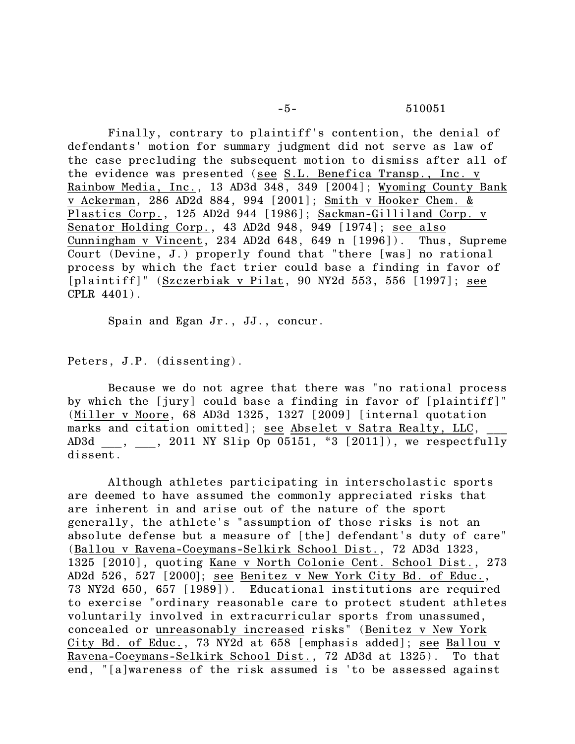Finally, contrary to plaintiff's contention, the denial of defendants' motion for summary judgment did not serve as law of the case precluding the subsequent motion to dismiss after all of the evidence was presented (see S.L. Benefica Transp., Inc. v Rainbow Media, Inc., 13 AD3d 348, 349 [2004]; Wyoming County Bank v Ackerman, 286 AD2d 884, 994 [2001]; Smith v Hooker Chem. & Plastics Corp., 125 AD2d 944 [1986]; Sackman-Gilliland Corp. v Senator Holding Corp., 43 AD2d 948, 949 [1974]; see also Cunningham v Vincent, 234 AD2d 648, 649 n [1996]). Thus, Supreme Court (Devine, J.) properly found that "there [was] no rational process by which the fact trier could base a finding in favor of [plaintiff]" (Szczerbiak v Pilat, 90 NY2d 553, 556 [1997]; see CPLR 4401).

Spain and Egan Jr., JJ., concur.

Peters, J.P. (dissenting).

Because we do not agree that there was "no rational process by which the [jury] could base a finding in favor of [plaintiff]" (Miller v Moore, 68 AD3d 1325, 1327 [2009] [internal quotation marks and citation omitted]; see Abselet v Satra Realty, LLC, AD3d  $\_\_$ ,  $\_\_$  2011 NY Slip Op 05151, \*3 [2011]), we respectfully dissent.

Although athletes participating in interscholastic sports are deemed to have assumed the commonly appreciated risks that are inherent in and arise out of the nature of the sport generally, the athlete's "assumption of those risks is not an absolute defense but a measure of [the] defendant's duty of care" (Ballou v Ravena-Coeymans-Selkirk School Dist., 72 AD3d 1323, 1325 [2010], quoting Kane v North Colonie Cent. School Dist., 273 AD2d 526, 527 [2000]; see Benitez v New York City Bd. of Educ., 73 NY2d 650, 657 [1989]). Educational institutions are required to exercise "ordinary reasonable care to protect student athletes voluntarily involved in extracurricular sports from unassumed, concealed or unreasonably increased risks" (Benitez v New York City Bd. of Educ., 73 NY2d at 658 [emphasis added]; see Ballou v Ravena-Coeymans-Selkirk School Dist., 72 AD3d at 1325). To that end, "[a]wareness of the risk assumed is 'to be assessed against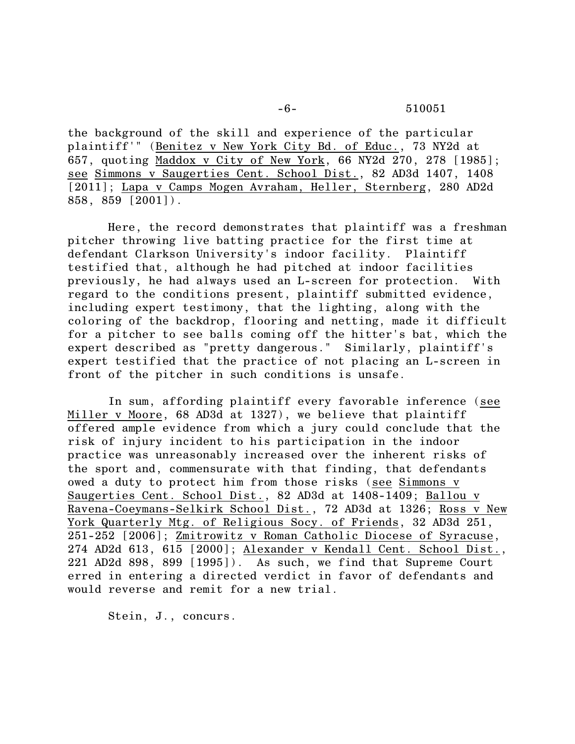the background of the skill and experience of the particular plaintiff'" (Benitez v New York City Bd. of Educ., 73 NY2d at 657, quoting Maddox v City of New York, 66 NY2d 270, 278 [1985]; see Simmons v Saugerties Cent. School Dist., 82 AD3d 1407, 1408 [2011]; Lapa v Camps Mogen Avraham, Heller, Sternberg, 280 AD2d 858, 859 [2001]).

Here, the record demonstrates that plaintiff was a freshman pitcher throwing live batting practice for the first time at defendant Clarkson University's indoor facility. Plaintiff testified that, although he had pitched at indoor facilities previously, he had always used an L-screen for protection. With regard to the conditions present, plaintiff submitted evidence, including expert testimony, that the lighting, along with the coloring of the backdrop, flooring and netting, made it difficult for a pitcher to see balls coming off the hitter's bat, which the expert described as "pretty dangerous." Similarly, plaintiff's expert testified that the practice of not placing an L-screen in front of the pitcher in such conditions is unsafe.

In sum, affording plaintiff every favorable inference (see Miller v Moore, 68 AD3d at 1327), we believe that plaintiff offered ample evidence from which a jury could conclude that the risk of injury incident to his participation in the indoor practice was unreasonably increased over the inherent risks of the sport and, commensurate with that finding, that defendants owed a duty to protect him from those risks (see Simmons v Saugerties Cent. School Dist., 82 AD3d at 1408-1409; Ballou v Ravena-Coeymans-Selkirk School Dist., 72 AD3d at 1326; Ross v New York Quarterly Mtg. of Religious Socy. of Friends, 32 AD3d 251, 251-252 [2006]; Zmitrowitz v Roman Catholic Diocese of Syracuse, 274 AD2d 613, 615 [2000]; Alexander v Kendall Cent. School Dist., 221 AD2d 898, 899 [1995]). As such, we find that Supreme Court erred in entering a directed verdict in favor of defendants and would reverse and remit for a new trial.

Stein, J., concurs.